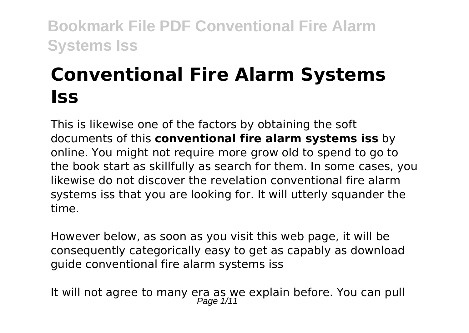# **Conventional Fire Alarm Systems Iss**

This is likewise one of the factors by obtaining the soft documents of this **conventional fire alarm systems iss** by online. You might not require more grow old to spend to go to the book start as skillfully as search for them. In some cases, you likewise do not discover the revelation conventional fire alarm systems iss that you are looking for. It will utterly squander the time.

However below, as soon as you visit this web page, it will be consequently categorically easy to get as capably as download guide conventional fire alarm systems iss

It will not agree to many era as we explain before. You can pull<br> $P_{\text{age 1/11}}$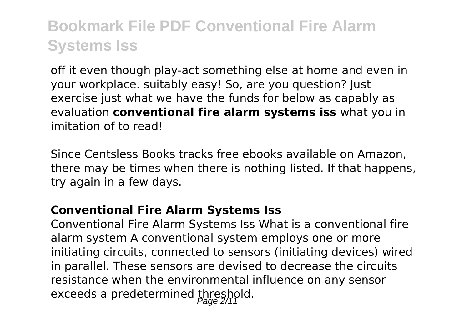off it even though play-act something else at home and even in your workplace. suitably easy! So, are you question? Just exercise just what we have the funds for below as capably as evaluation **conventional fire alarm systems iss** what you in imitation of to read!

Since Centsless Books tracks free ebooks available on Amazon, there may be times when there is nothing listed. If that happens, try again in a few days.

### **Conventional Fire Alarm Systems Iss**

Conventional Fire Alarm Systems Iss What is a conventional fire alarm system A conventional system employs one or more initiating circuits, connected to sensors (initiating devices) wired in parallel. These sensors are devised to decrease the circuits resistance when the environmental influence on any sensor exceeds a predetermined threshold.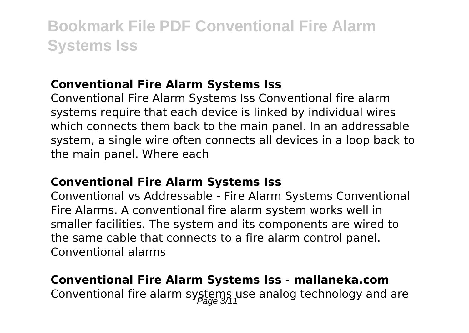### **Conventional Fire Alarm Systems Iss**

Conventional Fire Alarm Systems Iss Conventional fire alarm systems require that each device is linked by individual wires which connects them back to the main panel. In an addressable system, a single wire often connects all devices in a loop back to the main panel. Where each

### **Conventional Fire Alarm Systems Iss**

Conventional vs Addressable - Fire Alarm Systems Conventional Fire Alarms. A conventional fire alarm system works well in smaller facilities. The system and its components are wired to the same cable that connects to a fire alarm control panel. Conventional alarms

### **Conventional Fire Alarm Systems Iss - mallaneka.com** Conventional fire alarm systems use analog technology and are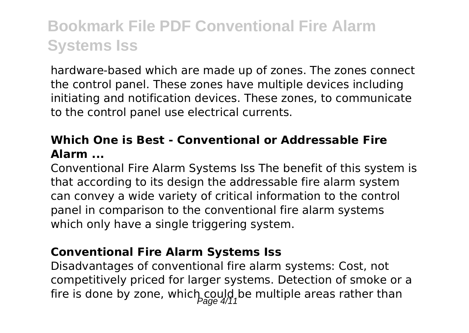hardware-based which are made up of zones. The zones connect the control panel. These zones have multiple devices including initiating and notification devices. These zones, to communicate to the control panel use electrical currents.

### **Which One is Best - Conventional or Addressable Fire Alarm ...**

Conventional Fire Alarm Systems Iss The benefit of this system is that according to its design the addressable fire alarm system can convey a wide variety of critical information to the control panel in comparison to the conventional fire alarm systems which only have a single triggering system.

### **Conventional Fire Alarm Systems Iss**

Disadvantages of conventional fire alarm systems: Cost, not competitively priced for larger systems. Detection of smoke or a fire is done by zone, which could be multiple areas rather than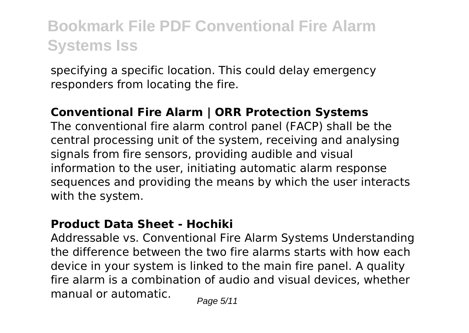specifying a specific location. This could delay emergency responders from locating the fire.

### **Conventional Fire Alarm | ORR Protection Systems**

The conventional fire alarm control panel (FACP) shall be the central processing unit of the system, receiving and analysing signals from fire sensors, providing audible and visual information to the user, initiating automatic alarm response sequences and providing the means by which the user interacts with the system.

### **Product Data Sheet - Hochiki**

Addressable vs. Conventional Fire Alarm Systems Understanding the difference between the two fire alarms starts with how each device in your system is linked to the main fire panel. A quality fire alarm is a combination of audio and visual devices, whether manual or automatic.  $P_{\text{face } 5/11}$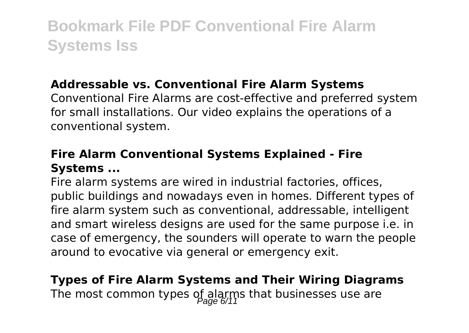### **Addressable vs. Conventional Fire Alarm Systems**

Conventional Fire Alarms are cost-effective and preferred system for small installations. Our video explains the operations of a conventional system.

### **Fire Alarm Conventional Systems Explained - Fire Systems ...**

Fire alarm systems are wired in industrial factories, offices, public buildings and nowadays even in homes. Different types of fire alarm system such as conventional, addressable, intelligent and smart wireless designs are used for the same purpose i.e. in case of emergency, the sounders will operate to warn the people around to evocative via general or emergency exit.

### **Types of Fire Alarm Systems and Their Wiring Diagrams** The most common types of alarms that businesses use are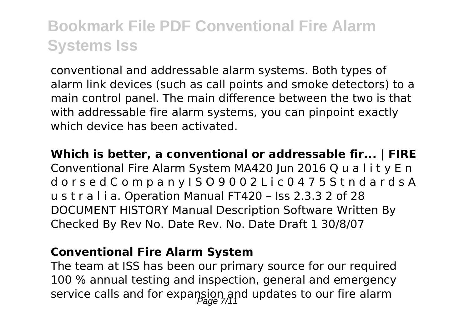conventional and addressable alarm systems. Both types of alarm link devices (such as call points and smoke detectors) to a main control panel. The main difference between the two is that with addressable fire alarm systems, you can pinpoint exactly which device has been activated.

**Which is better, a conventional or addressable fir... | FIRE** Conventional Fire Alarm System MA420 Jun 2016 Q u a l i t y E n d o r s e d C o m p a n y I S O 9 0 0 2 L i c 0 4 7 5 S t n d a r d s A u s t r a l i a. Operation Manual FT420 – Iss 2.3.3 2 of 28 DOCUMENT HISTORY Manual Description Software Written By Checked By Rev No. Date Rev. No. Date Draft 1 30/8/07

### **Conventional Fire Alarm System**

The team at ISS has been our primary source for our required 100 % annual testing and inspection, general and emergency service calls and for expansion and updates to our fire alarm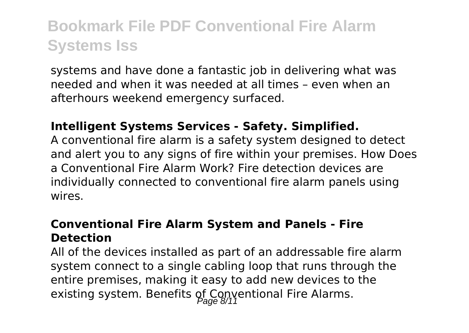systems and have done a fantastic job in delivering what was needed and when it was needed at all times – even when an afterhours weekend emergency surfaced.

### **Intelligent Systems Services - Safety. Simplified.**

A conventional fire alarm is a safety system designed to detect and alert you to any signs of fire within your premises. How Does a Conventional Fire Alarm Work? Fire detection devices are individually connected to conventional fire alarm panels using wires.

### **Conventional Fire Alarm System and Panels - Fire Detection**

All of the devices installed as part of an addressable fire alarm system connect to a single cabling loop that runs through the entire premises, making it easy to add new devices to the existing system. Benefits of Conyentional Fire Alarms.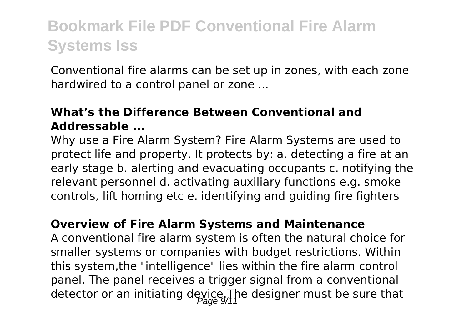Conventional fire alarms can be set up in zones, with each zone hardwired to a control panel or zone ...

### **What's the Difference Between Conventional and Addressable ...**

Why use a Fire Alarm System? Fire Alarm Systems are used to protect life and property. It protects by: a. detecting a fire at an early stage b. alerting and evacuating occupants c. notifying the relevant personnel d. activating auxiliary functions e.g. smoke controls, lift homing etc e. identifying and guiding fire fighters

### **Overview of Fire Alarm Systems and Maintenance**

A conventional fire alarm system is often the natural choice for smaller systems or companies with budget restrictions. Within this system,the "intelligence" lies within the fire alarm control panel. The panel receives a trigger signal from a conventional detector or an initiating device. The designer must be sure that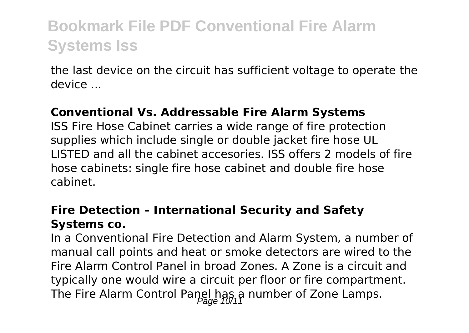the last device on the circuit has sufficient voltage to operate the device ...

### **Conventional Vs. Addressable Fire Alarm Systems**

ISS Fire Hose Cabinet carries a wide range of fire protection supplies which include single or double jacket fire hose UL LISTED and all the cabinet accesories. ISS offers 2 models of fire hose cabinets: single fire hose cabinet and double fire hose cabinet.

### **Fire Detection – International Security and Safety Systems co.**

In a Conventional Fire Detection and Alarm System, a number of manual call points and heat or smoke detectors are wired to the Fire Alarm Control Panel in broad Zones. A Zone is a circuit and typically one would wire a circuit per floor or fire compartment. The Fire Alarm Control Panel has a number of Zone Lamps.